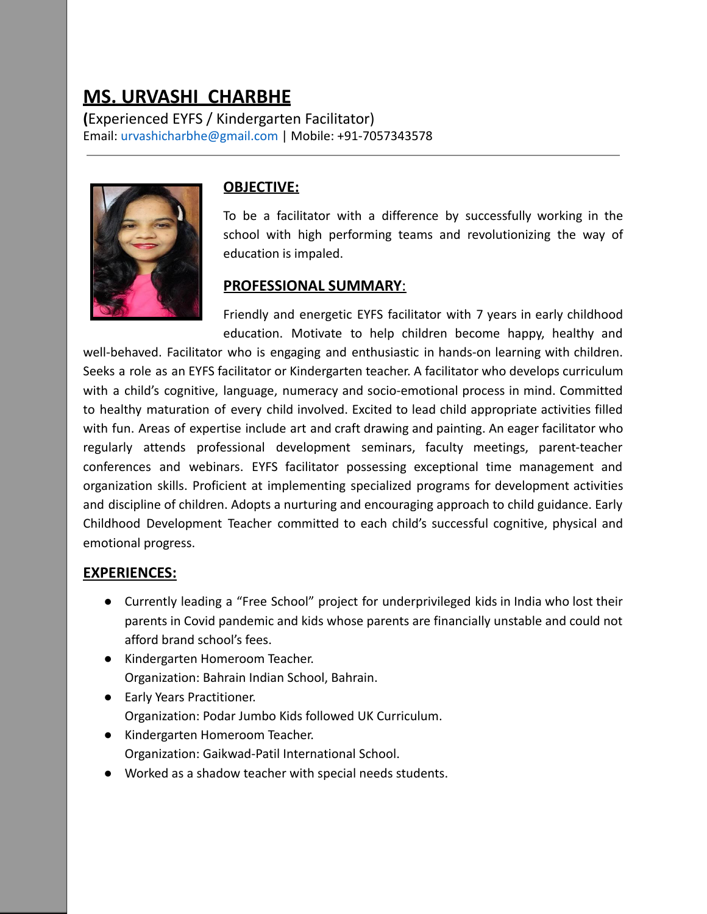# **MS. URVASHI CHARBHE**

**(**Experienced EYFS / Kindergarten Facilitator) Email: [urvashicharbhe@gmail.com](mailto:urvashicharbhe@gmai.com) | Mobile: +91-7057343578



## **OBJECTIVE:**

To be a facilitator with a difference by successfully working in the school with high performing teams and revolutionizing the way of education is impaled.

#### **PROFESSIONAL SUMMARY**:

Friendly and energetic EYFS facilitator with 7 years in early childhood education. Motivate to help children become happy, healthy and

well-behaved. Facilitator who is engaging and enthusiastic in hands-on learning with children. Seeks a role as an EYFS facilitator or Kindergarten teacher. A facilitator who develops curriculum with a child's cognitive, language, numeracy and socio-emotional process in mind. Committed to healthy maturation of every child involved. Excited to lead child appropriate activities filled with fun. Areas of expertise include art and craft drawing and painting. An eager facilitator who regularly attends professional development seminars, faculty meetings, parent-teacher conferences and webinars. EYFS facilitator possessing exceptional time management and organization skills. Proficient at implementing specialized programs for development activities and discipline of children. Adopts a nurturing and encouraging approach to child guidance. Early Childhood Development Teacher committed to each child's successful cognitive, physical and emotional progress.

## **EXPERIENCES:**

- Currently leading a "Free School" project for underprivileged kids in India who lost their parents in Covid pandemic and kids whose parents are financially unstable and could not afford brand school's fees.
- Kindergarten Homeroom Teacher. Organization: Bahrain Indian School, Bahrain.
- Early Years Practitioner. Organization: Podar Jumbo Kids followed UK Curriculum.
- Kindergarten Homeroom Teacher. Organization: Gaikwad-Patil International School.
- Worked as a shadow teacher with special needs students.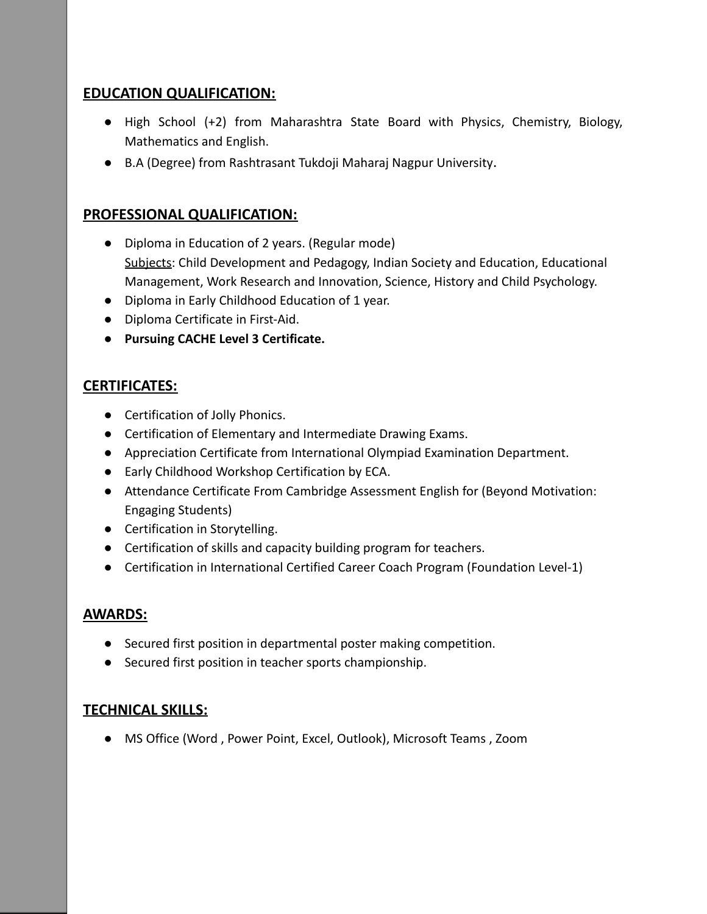#### **EDUCATION QUALIFICATION:**

- High School (+2) from Maharashtra State Board with Physics, Chemistry, Biology, Mathematics and English.
- B.A (Degree) from Rashtrasant Tukdoji Maharaj Nagpur University.

## **PROFESSIONAL QUALIFICATION:**

- Diploma in Education of 2 years. (Regular mode) Subjects: Child Development and Pedagogy, Indian Society and Education, Educational Management, Work Research and Innovation, Science, History and Child Psychology.
- Diploma in Early Childhood Education of 1 year.
- Diploma Certificate in First-Aid.
- **● Pursuing CACHE Level 3 Certificate.**

## **CERTIFICATES:**

- Certification of Jolly Phonics.
- Certification of Elementary and Intermediate Drawing Exams.
- Appreciation Certificate from International Olympiad Examination Department.
- Early Childhood Workshop Certification by ECA.
- Attendance Certificate From Cambridge Assessment English for (Beyond Motivation: Engaging Students)
- Certification in Storytelling.
- Certification of skills and capacity building program for teachers.
- Certification in International Certified Career Coach Program (Foundation Level-1)

## **AWARDS:**

- Secured first position in departmental poster making competition.
- Secured first position in teacher sports championship.

## **TECHNICAL SKILLS:**

● MS Office (Word , Power Point, Excel, Outlook), Microsoft Teams , Zoom